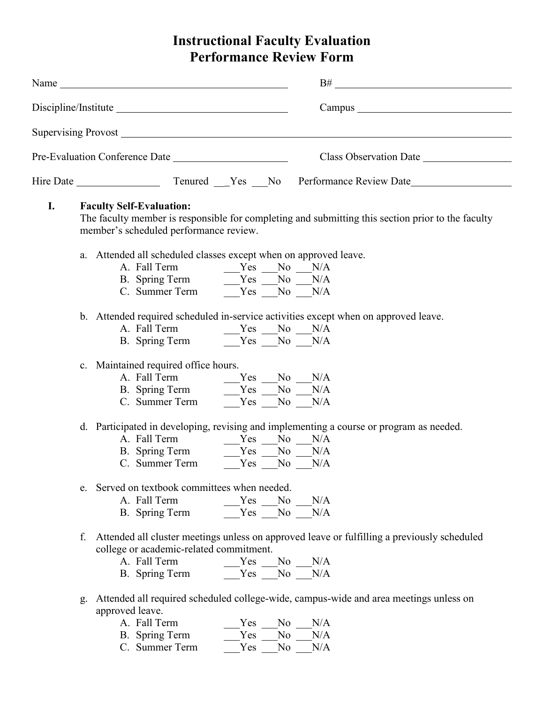# **Instructional Faculty Evaluation Performance Review Form**

|    | Supervising Provost <u>example and the contract of the set of the set of the set of the set of the set of the set of the set of the set of the set of the set of the set of the set of the set of the set of the set of the set </u> |                                                                                                   |  |
|----|--------------------------------------------------------------------------------------------------------------------------------------------------------------------------------------------------------------------------------------|---------------------------------------------------------------------------------------------------|--|
|    |                                                                                                                                                                                                                                      | Class Observation Date                                                                            |  |
|    |                                                                                                                                                                                                                                      |                                                                                                   |  |
| I. | <b>Faculty Self-Evaluation:</b><br>member's scheduled performance review.                                                                                                                                                            | The faculty member is responsible for completing and submitting this section prior to the faculty |  |
|    | a. Attended all scheduled classes except when on approved leave.<br>B. Spring Term $Yes$ $No$ $N/A$<br>C. Summer Term Yes No N/A                                                                                                     |                                                                                                   |  |
|    | b. Attended required scheduled in-service activities except when on approved leave.<br>B. Spring Term $Yes$ No $N/A$                                                                                                                 |                                                                                                   |  |
|    | c. Maintained required office hours.<br>A. Fall Term $Yes$ No N/A<br>B. Spring Term $Yes$ N/A<br>N/A<br>N/A                                                                                                                          |                                                                                                   |  |
|    | d. Participated in developing, revising and implementing a course or program as needed.<br>e. Served on textbook committees when needed.                                                                                             |                                                                                                   |  |
|    | A. Fall Term<br>Yes No N/A<br>Yes No<br>B. Spring Term                                                                                                                                                                               | N/A                                                                                               |  |
|    | f.<br>college or academic-related commitment.<br>A. Fall Term<br>$Yes$ No $N/A$<br>$Yes$ No $N/A$<br>B. Spring Term                                                                                                                  | Attended all cluster meetings unless on approved leave or fulfilling a previously scheduled       |  |
|    | Attended all required scheduled college-wide, campus-wide and area meetings unless on<br>g.<br>approved leave.<br>A. Fall Term<br>Yes<br>N <sub>0</sub><br>B. Spring Term<br>Yes<br>N <sub>0</sub>                                   | N/A<br>N/A                                                                                        |  |

C. Summer Term  $Yes$  No N/A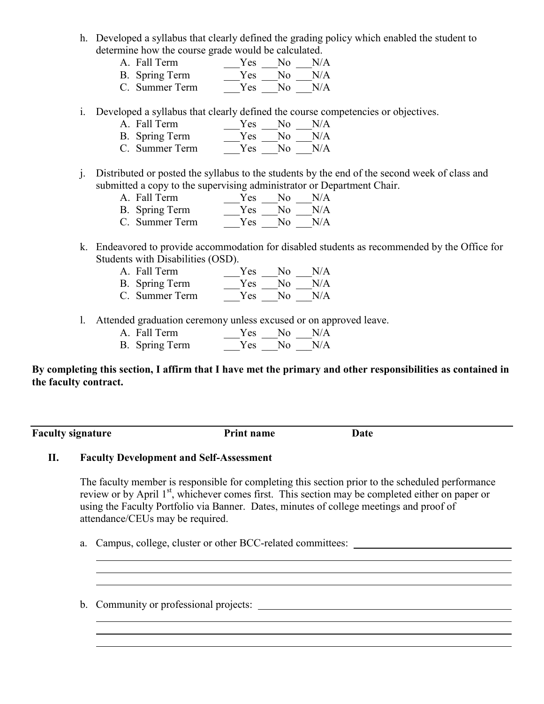- h. Developed a syllabus that clearly defined the grading policy which enabled the student to determine how the course grade would be calculated.
	- A. Fall Term  $Yes$  No N/A
	- B. Spring Term  $\frac{1}{\sqrt{2\pi}}\gamma_{\text{es}} \frac{1}{\sqrt{2}}N/A$
	- C. Summer Term \_\_\_\_\_Yes \_\_\_No \_\_\_N/A

i. Developed a syllabus that clearly defined the course competencies or objectives.

- A. Fall Term  $Yes$  No N/A B. Spring Term  $Yes$   $\overline{N_0}$   $\overline{N/A}$
- C. Summer Term  $Yes$  No N/A
- j. Distributed or posted the syllabus to the students by the end of the second week of class and submitted a copy to the supervising administrator or Department Chair.
	- A. Fall Term  $Yes \t No \t N/A$
	- B. Spring Term  $\frac{Y_{\text{es}}}{Y_{\text{es}}} = \frac{N_0}{N_0} = \frac{N/A}{N/A}$  $Yes$   $No$   $N/A$
- k. Endeavored to provide accommodation for disabled students as recommended by the Office for Students with Disabilities (OSD).
	- A. Fall Term \_\_\_\_\_Yes \_\_\_No \_\_\_N/A B. Spring Term Yes No N/A
	- C. Summer Term  $Y_{\text{res}}$   $\overline{N_0}$   $\overline{N/A}$
- l. Attended graduation ceremony unless excused or on approved leave.
	- A. Fall Term  $Yes$  No N/A B. Spring Term  $Yes$  No N/A

**By completing this section, I affirm that I have met the primary and other responsibilities as contained in the faculty contract.**

**Faculty signature Print name Date** 

## **II. Faculty Development and Self-Assessment**

The faculty member is responsible for completing this section prior to the scheduled performance review or by April 1<sup>st</sup>, whichever comes first. This section may be completed either on paper or using the Faculty Portfolio via Banner. Dates, minutes of college meetings and proof of attendance/CEUs may be required.

a. Campus, college, cluster or other BCC-related committees:

b. Community or professional projects: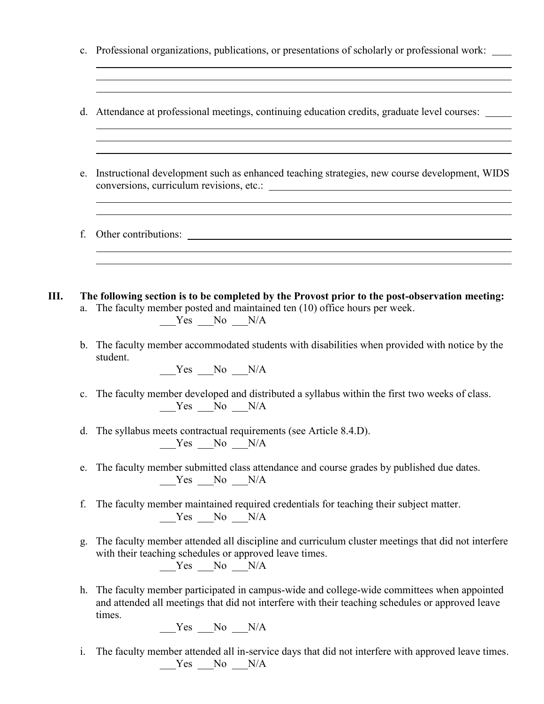|    | C <sub>1</sub> | Professional organizations, publications, or presentations of scholarly or professional work:                                                                                                                                                                                                                          |
|----|----------------|------------------------------------------------------------------------------------------------------------------------------------------------------------------------------------------------------------------------------------------------------------------------------------------------------------------------|
|    |                | ,我们也不会有什么。""我们的人,我们也不会有什么?""我们的人,我们也不会有什么?""我们的人,我们也不会有什么?""我们的人,我们也不会有什么?""我们的人<br>d. Attendance at professional meetings, continuing education credits, graduate level courses:<br><u> 1989 - Andrea Andrew Maria (h. 1989).</u><br>,我们也不会有什么。""我们的人,我们也不会有什么?""我们的人,我们也不会有什么?""我们的人,我们也不会有什么?""我们的人,我们也不会有什么?""我们的人 |
|    | e.             | ,我们也不会有什么。""我们的人,我们也不会有什么?""我们的人,我们也不会有什么?""我们的人,我们也不会有什么?""我们的人,我们也不会有什么?""我们的人<br>Instructional development such as enhanced teaching strategies, new course development, WIDS<br><u> 1989 - Andrea Santa Andrea Andrea Andrea Andrea Andrea Andrea Andrea Andrea Andrea Andrea Andrea Andrea Andr</u>               |
|    | f.             |                                                                                                                                                                                                                                                                                                                        |
| Ш. | a.<br>b.       | The following section is to be completed by the Provost prior to the post-observation meeting:<br>The faculty member posted and maintained ten (10) office hours per week.<br>$Yes$ No $N/A$<br>The faculty member accommodated students with disabilities when provided with notice by the<br>student.                |
|    | $\mathbf{c}$ . | $Yes$ No $N/A$<br>The faculty member developed and distributed a syllabus within the first two weeks of class.<br>$Yes$ No $N/A$                                                                                                                                                                                       |
|    |                | d. The syllabus meets contractual requirements (see Article 8.4.D).<br>$Yes$ No $N/A$                                                                                                                                                                                                                                  |
|    | e.             | The faculty member submitted class attendance and course grades by published due dates.<br>$Yes$ No $N/A$                                                                                                                                                                                                              |
|    | f.             | The faculty member maintained required credentials for teaching their subject matter.<br>$Yes$ No $N/A$                                                                                                                                                                                                                |
|    | g.             | The faculty member attended all discipline and curriculum cluster meetings that did not interfere<br>with their teaching schedules or approved leave times.<br>$Yes$ No $N/A$                                                                                                                                          |
|    | h.             | The faculty member participated in campus-wide and college-wide committees when appointed<br>and attended all meetings that did not interfere with their teaching schedules or approved leave<br>times.<br>$Yes$ No $N/A$                                                                                              |
|    |                |                                                                                                                                                                                                                                                                                                                        |

i. The faculty member attended all in-service days that did not interfere with approved leave times.  $Yes$  No  $N/A$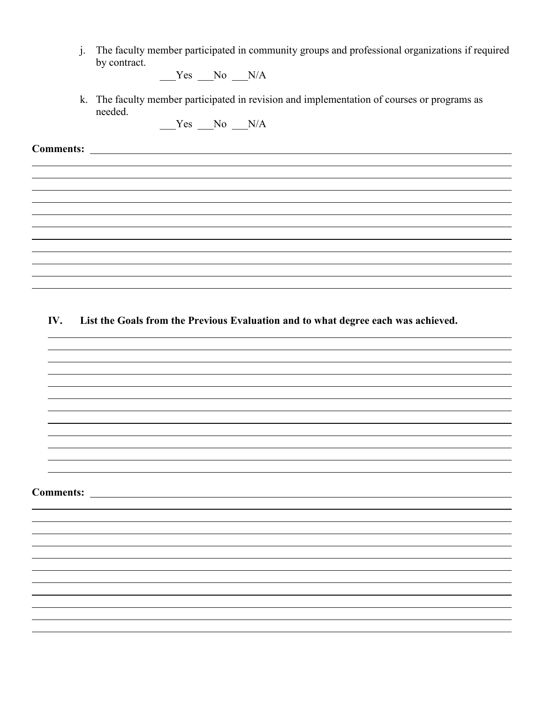j. The faculty member participated in community groups and professional organizations if required by contract.

 $Yes$  No  $N/A$ 

k. The faculty member participated in revision and implementation of courses or programs as needed.

 $Yes$  No  $N/A$ 

**Comments:** 

**IV. List the Goals from the Previous Evaluation and to what degree each was achieved.**

**Comments:**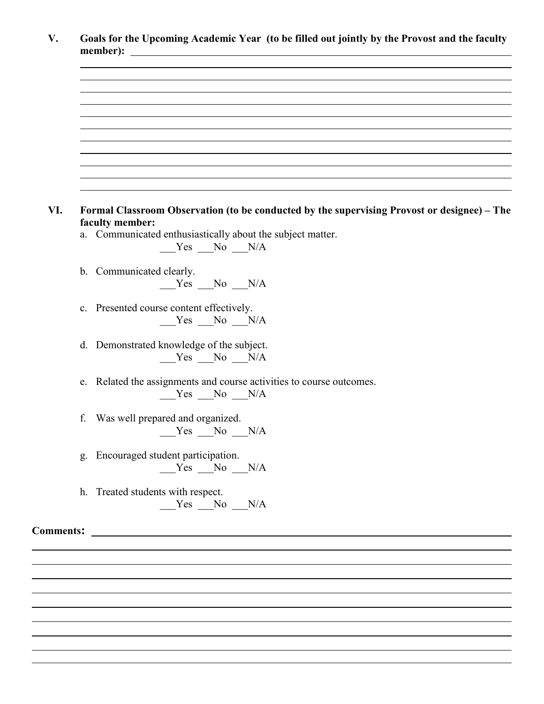|                  | Formal Classroom Observation (to be conducted by the supervising Provost or designee) - The<br>faculty member: |
|------------------|----------------------------------------------------------------------------------------------------------------|
|                  | a. Communicated enthusiastically about the subject matter.<br>$Yes$ No $N/A$                                   |
|                  |                                                                                                                |
|                  | b. Communicated clearly.<br>$Yes$ No $N/A$                                                                     |
|                  |                                                                                                                |
|                  | c. Presented course content effectively.<br>$Yes$ No $N/A$                                                     |
|                  |                                                                                                                |
|                  | d. Demonstrated knowledge of the subject.<br>$Yes$ No $N/A$                                                    |
|                  | e. Related the assignments and course activities to course outcomes.                                           |
|                  | $Yes$ No $N/A$                                                                                                 |
| f.               | Was well prepared and organized.                                                                               |
|                  | $Yes$ No $N/A$                                                                                                 |
|                  | g. Encouraged student participation.                                                                           |
|                  | $Yes$ No $N/A$                                                                                                 |
|                  | h. Treated students with respect.                                                                              |
|                  | $Yes$ No $N/A$                                                                                                 |
| <b>Comments:</b> | <u> 1989 - Johann Barbara, martin da kasar Amerikaansk politik (</u>                                           |
|                  |                                                                                                                |